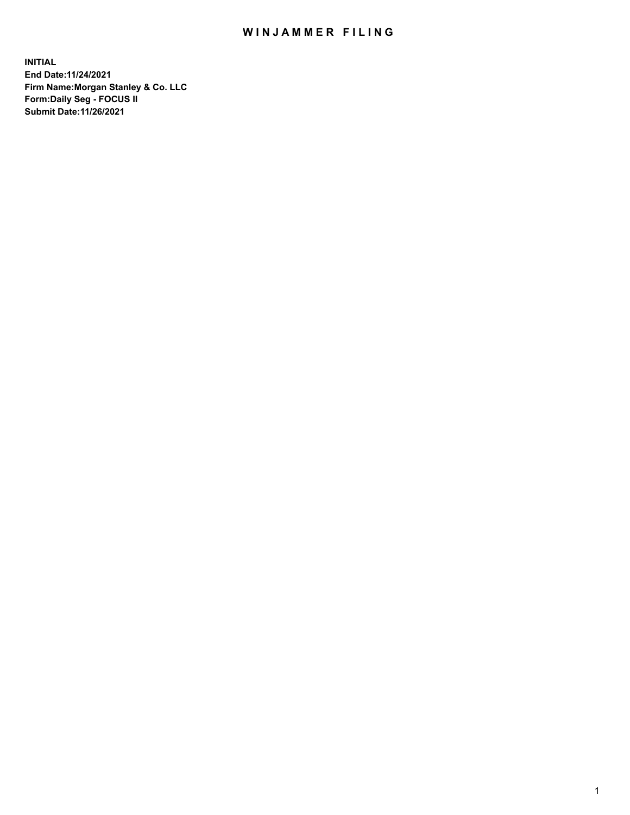## WIN JAMMER FILING

**INITIAL End Date:11/24/2021 Firm Name:Morgan Stanley & Co. LLC Form:Daily Seg - FOCUS II Submit Date:11/26/2021**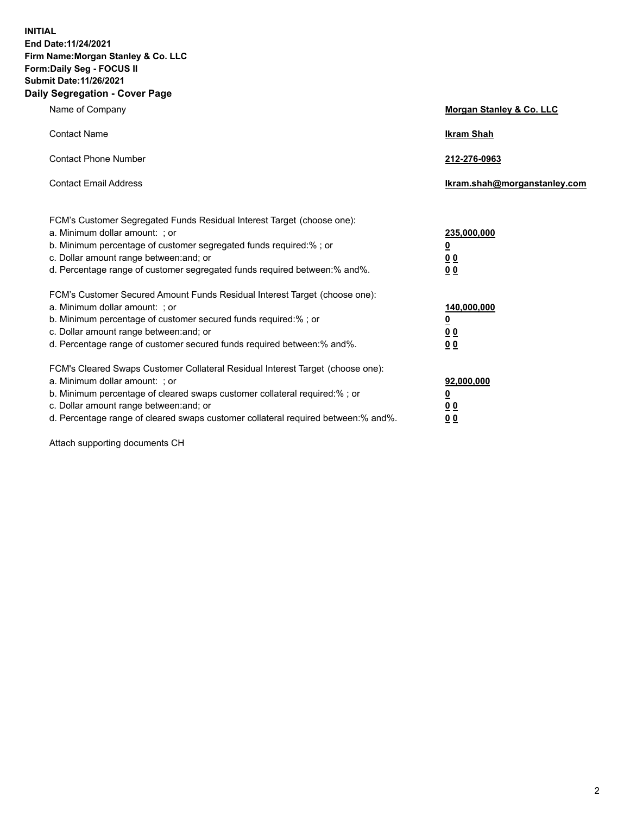**INITIAL End Date:11/24/2021 Firm Name:Morgan Stanley & Co. LLC Form:Daily Seg - FOCUS II Submit Date:11/26/2021 Daily Segregation - Cover Page**

| Name of Company                                                                                                                                                                                                                                                                                                                | Morgan Stanley & Co. LLC                                |
|--------------------------------------------------------------------------------------------------------------------------------------------------------------------------------------------------------------------------------------------------------------------------------------------------------------------------------|---------------------------------------------------------|
| <b>Contact Name</b>                                                                                                                                                                                                                                                                                                            | <b>Ikram Shah</b>                                       |
| <b>Contact Phone Number</b>                                                                                                                                                                                                                                                                                                    | 212-276-0963                                            |
| <b>Contact Email Address</b>                                                                                                                                                                                                                                                                                                   | Ikram.shah@morganstanley.com                            |
| FCM's Customer Segregated Funds Residual Interest Target (choose one):<br>a. Minimum dollar amount: ; or<br>b. Minimum percentage of customer segregated funds required:%; or<br>c. Dollar amount range between: and; or<br>d. Percentage range of customer segregated funds required between: % and %.                        | 235,000,000<br><u>0</u><br>00<br>0 Q                    |
| FCM's Customer Secured Amount Funds Residual Interest Target (choose one):<br>a. Minimum dollar amount: ; or<br>b. Minimum percentage of customer secured funds required:%; or<br>c. Dollar amount range between: and; or<br>d. Percentage range of customer secured funds required between:% and%.                            | 140,000,000<br><u>0</u><br><u>0 0</u><br>0 <sub>0</sub> |
| FCM's Cleared Swaps Customer Collateral Residual Interest Target (choose one):<br>a. Minimum dollar amount: ; or<br>b. Minimum percentage of cleared swaps customer collateral required:% ; or<br>c. Dollar amount range between: and; or<br>d. Percentage range of cleared swaps customer collateral required between:% and%. | 92,000,000<br><u>0</u><br><u>00</u><br>00               |

Attach supporting documents CH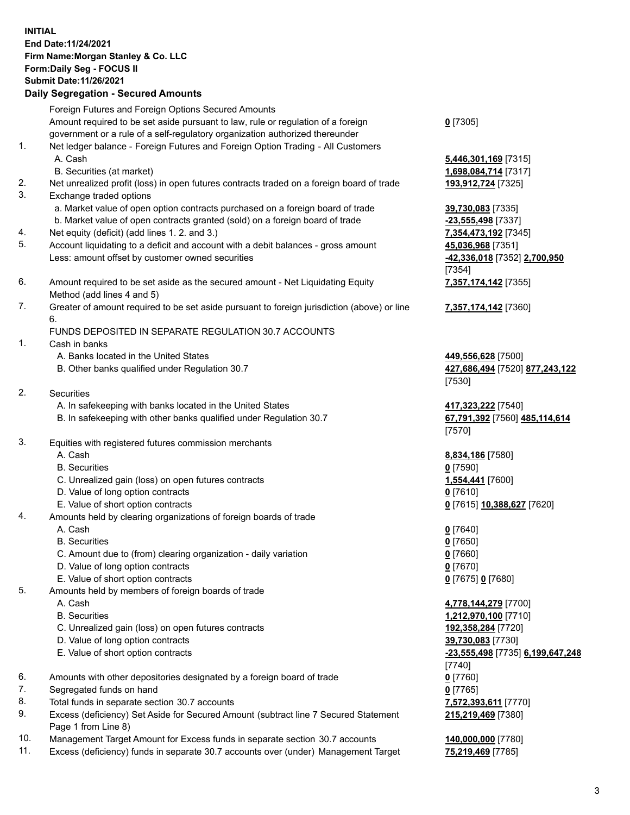## **INITIAL End Date:11/24/2021 Firm Name:Morgan Stanley & Co. LLC Form:Daily Seg - FOCUS II Submit Date:11/26/2021**

## **Daily Segregation - Secured Amounts**

Foreign Futures and Foreign Options Secured Amounts Amount required to be set aside pursuant to law, rule or regulation of a foreign government or a rule of a self-regulatory organization authorized thereunder 1. Net ledger balance - Foreign Futures and Foreign Option Trading - All Customers A. Cash **5,446,301,169** [7315] B. Securities (at market) **1,698,084,714** [7317] 2. Net unrealized profit (loss) in open futures contracts traded on a foreign board of trade **193,912,724** [7325] 3. Exchange traded options a. Market value of open option contracts purchased on a foreign board of trade **39,730,083** [7335] b. Market value of open contracts granted (sold) on a foreign board of trade **-23,555,498** [7337] 4. Net equity (deficit) (add lines 1. 2. and 3.) **7,354,473,192** [7345] 5. Account liquidating to a deficit and account with a debit balances - gross amount **45,036,968** [7351] Less: amount offset by customer owned securities **-42,336,018** [7352] **2,700,950** 6. Amount required to be set aside as the secured amount - Net Liquidating Equity Method (add lines 4 and 5) 7. Greater of amount required to be set aside pursuant to foreign jurisdiction (above) or line 6. FUNDS DEPOSITED IN SEPARATE REGULATION 30.7 ACCOUNTS 1. Cash in banks A. Banks located in the United States **449,556,628** [7500] B. Other banks qualified under Regulation 30.7 **427,686,494** [7520] **877,243,122** 2. Securities A. In safekeeping with banks located in the United States **417,323,222** [7540] B. In safekeeping with other banks qualified under Regulation 30.7 **67,791,392** [7560] **485,114,614**

- 3. Equities with registered futures commission merchants
	-
	- B. Securities **0** [7590]
	- C. Unrealized gain (loss) on open futures contracts **1,554,441** [7600]
	- D. Value of long option contracts **0** [7610]
	- E. Value of short option contracts **0** [7615] **10,388,627** [7620]
- 4. Amounts held by clearing organizations of foreign boards of trade
	-
	- B. Securities **0** [7650]
	- C. Amount due to (from) clearing organization daily variation **0** [7660]
	- D. Value of long option contracts **0** [7670]
	- E. Value of short option contracts **0** [7675] **0** [7680]
- 5. Amounts held by members of foreign boards of trade
	-
	-
	- C. Unrealized gain (loss) on open futures contracts **192,358,284** [7720]
	- D. Value of long option contracts **39,730,083** [7730]
	-
- 6. Amounts with other depositories designated by a foreign board of trade **0** [7760]
- 7. Segregated funds on hand **0** [7765]
- 8. Total funds in separate section 30.7 accounts **7,572,393,611** [7770]
- 9. Excess (deficiency) Set Aside for Secured Amount (subtract line 7 Secured Statement Page 1 from Line 8)
- 10. Management Target Amount for Excess funds in separate section 30.7 accounts **140,000,000** [7780]
- 11. Excess (deficiency) funds in separate 30.7 accounts over (under) Management Target **75,219,469** [7785]

**0** [7305]

[7354] **7,357,174,142** [7355]

**7,357,174,142** [7360]

[7530]

[7570]

A. Cash **8,834,186** [7580]

A. Cash **0** [7640]

 A. Cash **4,778,144,279** [7700] B. Securities **1,212,970,100** [7710] E. Value of short option contracts **-23,555,498** [7735] **6,199,647,248** [7740] **215,219,469** [7380]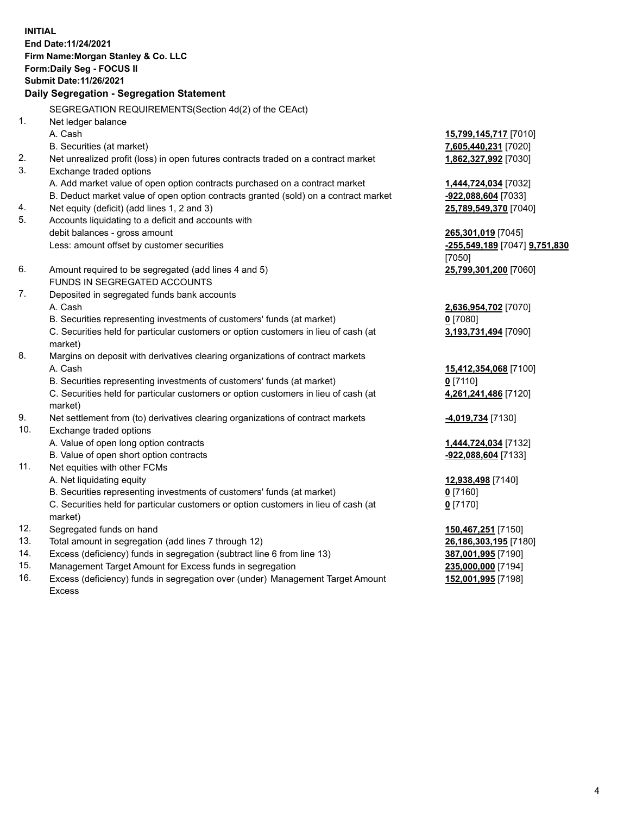**INITIAL End Date:11/24/2021 Firm Name:Morgan Stanley & Co. LLC Form:Daily Seg - FOCUS II Submit Date:11/26/2021 Daily Segregation - Segregation Statement** SEGREGATION REQUIREMENTS(Section 4d(2) of the CEAct) 1. Net ledger balance A. Cash **15,799,145,717** [7010] B. Securities (at market) **7,605,440,231** [7020] 2. Net unrealized profit (loss) in open futures contracts traded on a contract market **1,862,327,992** [7030] 3. Exchange traded options A. Add market value of open option contracts purchased on a contract market **1,444,724,034** [7032] B. Deduct market value of open option contracts granted (sold) on a contract market **-922,088,604** [7033] 4. Net equity (deficit) (add lines 1, 2 and 3) **25,789,549,370** [7040] 5. Accounts liquidating to a deficit and accounts with debit balances - gross amount **265,301,019** [7045] Less: amount offset by customer securities **-255,549,189** [7047] **9,751,830** [7050] 6. Amount required to be segregated (add lines 4 and 5) **25,799,301,200** [7060] FUNDS IN SEGREGATED ACCOUNTS 7. Deposited in segregated funds bank accounts A. Cash **2,636,954,702** [7070] B. Securities representing investments of customers' funds (at market) **0** [7080] C. Securities held for particular customers or option customers in lieu of cash (at market) **3,193,731,494** [7090] 8. Margins on deposit with derivatives clearing organizations of contract markets A. Cash **15,412,354,068** [7100] B. Securities representing investments of customers' funds (at market) **0** [7110] C. Securities held for particular customers or option customers in lieu of cash (at market) **4,261,241,486** [7120] 9. Net settlement from (to) derivatives clearing organizations of contract markets **-4,019,734** [7130] 10. Exchange traded options A. Value of open long option contracts **1,444,724,034** [7132] B. Value of open short option contracts **-922,088,604** [7133] 11. Net equities with other FCMs A. Net liquidating equity **12,938,498** [7140] B. Securities representing investments of customers' funds (at market) **0** [7160] C. Securities held for particular customers or option customers in lieu of cash (at market) **0** [7170] 12. Segregated funds on hand **150,467,251** [7150] 13. Total amount in segregation (add lines 7 through 12) **26,186,303,195** [7180] 14. Excess (deficiency) funds in segregation (subtract line 6 from line 13) **387,001,995** [7190] 15. Management Target Amount for Excess funds in segregation **235,000,000** [7194]

16. Excess (deficiency) funds in segregation over (under) Management Target Amount Excess

**152,001,995** [7198]